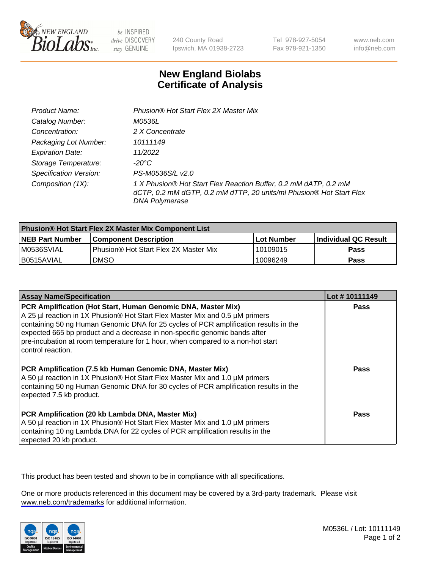

be INSPIRED drive DISCOVERY stay GENUINE

240 County Road Ipswich, MA 01938-2723 Tel 978-927-5054 Fax 978-921-1350

www.neb.com info@neb.com

## **New England Biolabs Certificate of Analysis**

| Product Name:                 | Phusion® Hot Start Flex 2X Master Mix                                                                                                                     |
|-------------------------------|-----------------------------------------------------------------------------------------------------------------------------------------------------------|
| Catalog Number:               | M0536L                                                                                                                                                    |
| Concentration:                | 2 X Concentrate                                                                                                                                           |
| Packaging Lot Number:         | 10111149                                                                                                                                                  |
| <b>Expiration Date:</b>       | 11/2022                                                                                                                                                   |
| Storage Temperature:          | -20°C                                                                                                                                                     |
| <b>Specification Version:</b> | PS-M0536S/L v2.0                                                                                                                                          |
| Composition (1X):             | 1 X Phusion® Hot Start Flex Reaction Buffer, 0.2 mM dATP, 0.2 mM<br>dCTP, 0.2 mM dGTP, 0.2 mM dTTP, 20 units/ml Phusion® Hot Start Flex<br>DNA Polymerase |

| <b>Phusion® Hot Start Flex 2X Master Mix Component List</b> |                                       |              |                             |  |
|-------------------------------------------------------------|---------------------------------------|--------------|-----------------------------|--|
| <b>NEB Part Number</b>                                      | <b>Component Description</b>          | l Lot Number | <b>Individual QC Result</b> |  |
| IM0536SVIAL                                                 | Phusion® Hot Start Flex 2X Master Mix | 10109015     | <b>Pass</b>                 |  |
| I B0515AVIAL                                                | DMSO                                  | 10096249     | Pass                        |  |

| <b>Assay Name/Specification</b>                                                                                                                                                                                                                                                                                                                                                                                            | Lot #10111149 |
|----------------------------------------------------------------------------------------------------------------------------------------------------------------------------------------------------------------------------------------------------------------------------------------------------------------------------------------------------------------------------------------------------------------------------|---------------|
| PCR Amplification (Hot Start, Human Genomic DNA, Master Mix)<br>A 25 µl reaction in 1X Phusion® Hot Start Flex Master Mix and 0.5 µM primers<br>containing 50 ng Human Genomic DNA for 25 cycles of PCR amplification results in the<br>expected 665 bp product and a decrease in non-specific genomic bands after<br>pre-incubation at room temperature for 1 hour, when compared to a non-hot start<br>control reaction. | <b>Pass</b>   |
| PCR Amplification (7.5 kb Human Genomic DNA, Master Mix)<br>A 50 µl reaction in 1X Phusion® Hot Start Flex Master Mix and 1.0 µM primers<br>containing 50 ng Human Genomic DNA for 30 cycles of PCR amplification results in the<br>expected 7.5 kb product.                                                                                                                                                               | Pass          |
| PCR Amplification (20 kb Lambda DNA, Master Mix)<br>A 50 µl reaction in 1X Phusion® Hot Start Flex Master Mix and 1.0 µM primers<br>containing 10 ng Lambda DNA for 22 cycles of PCR amplification results in the<br>expected 20 kb product.                                                                                                                                                                               | Pass          |

This product has been tested and shown to be in compliance with all specifications.

One or more products referenced in this document may be covered by a 3rd-party trademark. Please visit <www.neb.com/trademarks>for additional information.